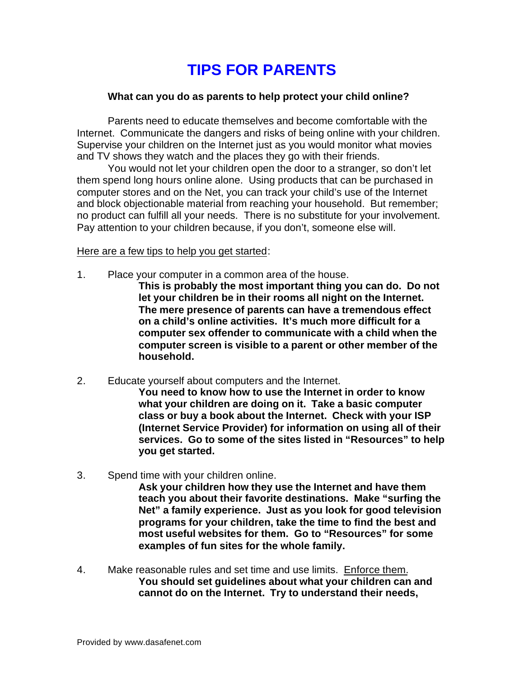## **TIPS FOR PARENTS**

## **What can you do as parents to help protect your child online?**

Parents need to educate themselves and become comfortable with the Internet. Communicate the dangers and risks of being online with your children. Supervise your children on the Internet just as you would monitor what movies and TV shows they watch and the places they go with their friends.

You would not let your children open the door to a stranger, so don't let them spend long hours online alone. Using products that can be purchased in computer stores and on the Net, you can track your child's use of the Internet and block objectionable material from reaching your household. But remember; no product can fulfill all your needs. There is no substitute for your involvement. Pay attention to your children because, if you don't, someone else will.

Here are a few tips to help you get started:

- 1. Place your computer in a common area of the house.
	- **This is probably the most important thing you can do. Do not let your children be in their rooms all night on the Internet. The mere presence of parents can have a tremendous effect on a child's online activities. It's much more difficult for a computer sex offender to communicate with a child when the computer screen is visible to a parent or other member of the household.**
- 2. Educate yourself about computers and the Internet.

**You need to know how to use the Internet in order to know what your children are doing on it. Take a basic computer class or buy a book about the Internet. Check with your ISP (Internet Service Provider) for information on using all of their services. Go to some of the sites listed in "Resources" to help you get started.**

3. Spend time with your children online.

**Ask your children how they use the Internet and have them teach you about their favorite destinations. Make "surfing the Net" a family experience. Just as you look for good television programs for your children, take the time to find the best and most useful websites for them. Go to "Resources" for some examples of fun sites for the whole family.**

4. Make reasonable rules and set time and use limits. Enforce them. **You should set guidelines about what your children can and cannot do on the Internet. Try to understand their needs,**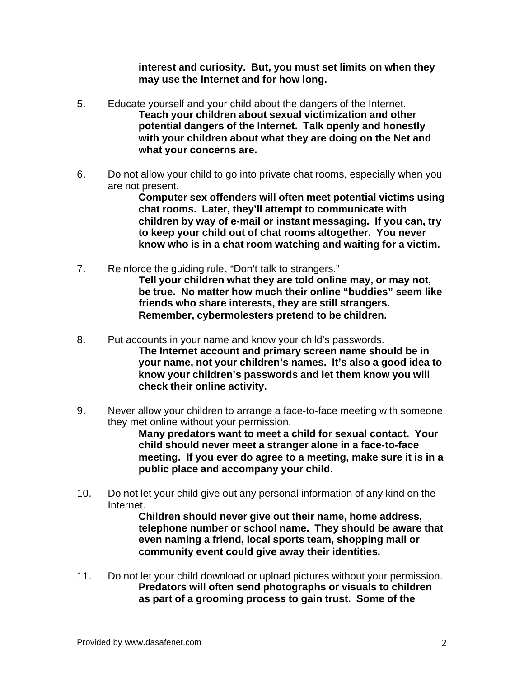**interest and curiosity. But, you must set limits on when they may use the Internet and for how long.**

- 5. Educate yourself and your child about the dangers of the Internet. **Teach your children about sexual victimization and other potential dangers of the Internet. Talk openly and honestly with your children about what they are doing on the Net and what your concerns are.**
- 6. Do not allow your child to go into private chat rooms, especially when you are not present.

**Computer sex offenders will often meet potential victims using chat rooms. Later, they'll attempt to communicate with children by way of e-mail or instant messaging. If you can, try to keep your child out of chat rooms altogether. You never know who is in a chat room watching and waiting for a victim.**

- 7. Reinforce the guiding rule, "Don't talk to strangers." **Tell your children what they are told online may, or may not, be true. No matter how much their online "buddies" seem like friends who share interests, they are still strangers. Remember, cybermolesters pretend to be children.**
- 8. Put accounts in your name and know your child's passwords. **The Internet account and primary screen name should be in your name, not your children's names. It's also a good idea to know your children's passwords and let them know you will check their online activity.**
- 9. Never allow your children to arrange a face-to-face meeting with someone they met online without your permission.

**Many predators want to meet a child for sexual contact. Your child should never meet a stranger alone in a face-to-face meeting. If you ever do agree to a meeting, make sure it is in a public place and accompany your child.**

10. Do not let your child give out any personal information of any kind on the Internet.

**Children should never give out their name, home address, telephone number or school name. They should be aware that even naming a friend, local sports team, shopping mall or community event could give away their identities.**

11. Do not let your child download or upload pictures without your permission. **Predators will often send photographs or visuals to children as part of a grooming process to gain trust. Some of the**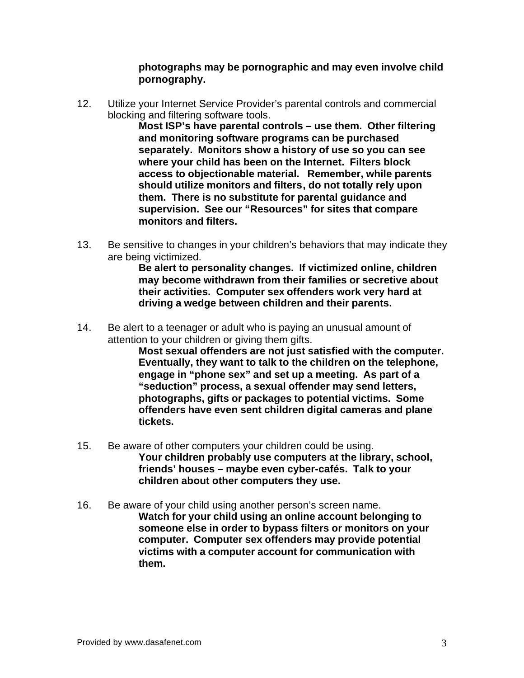**photographs may be pornographic and may even involve child pornography.**

12. Utilize your Internet Service Provider's parental controls and commercial blocking and filtering software tools.

**Most ISP's have parental controls – use them. Other filtering and monitoring software programs can be purchased separately. Monitors show a history of use so you can see where your child has been on the Internet. Filters block access to objectionable material. Remember, while parents should utilize monitors and filters, do not totally rely upon them. There is no substitute for parental guidance and supervision. See our "Resources" for sites that compare monitors and filters.**

13. Be sensitive to changes in your children's behaviors that may indicate they are being victimized.

**Be alert to personality changes. If victimized online, children may become withdrawn from their families or secretive about their activities. Computer sex offenders work very hard at driving a wedge between children and their parents.**

14. Be alert to a teenager or adult who is paying an unusual amount of attention to your children or giving them gifts.

**Most sexual offenders are not just satisfied with the computer. Eventually, they want to talk to the children on the telephone, engage in "phone sex" and set up a meeting. As part of a "seduction" process, a sexual offender may send letters, photographs, gifts or packages to potential victims. Some offenders have even sent children digital cameras and plane tickets.**

- 15. Be aware of other computers your children could be using. **Your children probably use computers at the library, school, friends' houses – maybe even cyber-cafés. Talk to your children about other computers they use.**
- 16. Be aware of your child using another person's screen name. **Watch for your child using an online account belonging to someone else in order to bypass filters or monitors on your computer. Computer sex offenders may provide potential victims with a computer account for communication with them.**